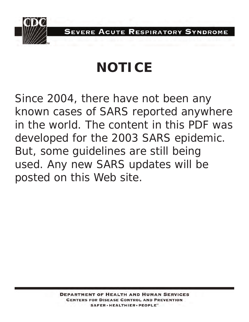

**SEVERE ACUTE RESPIRATORY SYNDROME** 

# **NOTICE**

Since 2004, there have not been any known cases of SARS reported anywhere in the world. The content in this PDF was developed for the 2003 SARS epidemic. But, some guidelines are still being used. Any new SARS updates will be posted on this Web site.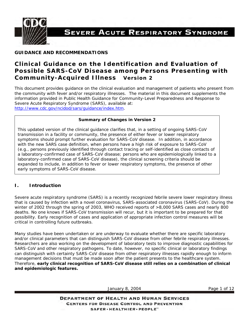

**SEVERE ACUTE RESPIRATORY SYNDROME** 

# **GUIDANCE AND RECOMMENDATIONS**

# **Clinical Guidance on the Identification and Evaluation of Possible SARS-CoV Disease among Persons Presenting with Community-Acquired Illness Version 2**

This document provides guidance on the clinical evaluation and management of patients who present from the community with fever and/or respiratory illnesses. The material in this document supplements the information provided in *Public Health Guidance for Community-Level Preparedness and Response to Severe Acute Respiratory Syndrome (SARS),* available at: <http://www.cdc.gov/ncidod/sars/guidance/index.htm>.

# **Summary of Changes in Version 2**

This updated version of the clinical guidance clarifies that, in a setting of ongoing SARS-CoV transmission in a facility or community, the presence of either fever *or lower* respiratory symptoms should prompt further evaluation for SARS-CoV disease. In addition, in accordance with the new SARS case definition, when persons have a high risk of exposure to SARS-CoV (e.g., persons previously identified through contact tracing or self-identified as close contacts of a laboratory-confirmed case of SARS-CoV disease; persons who are epidemiologically linked to a laboratory-confirmed case of SARS-CoV disease), the clinical screening criteria should be expanded to include, in addition to fever or lower respiratory symptoms, the presence of other early symptoms of SARS-CoV disease.

# **I. Introduction**

Severe acute respiratory syndrome (SARS) is a recently recognized febrile severe lower respiratory illness that is caused by infection with a novel coronavirus, SARS-associated coronavirus (SARS-CoV). During the winter of 2002 through the spring of 2003, WHO received reports of >8,000 SARS cases and nearly 800 deaths. No one knows if SARS-CoV transmission will recur, but it is important to be prepared for that possibility. Early recognition of cases and application of appropriate infection control measures will be critical in controlling future outbreaks.

Many studies have been undertaken or are underway to evaluate whether there are specific laboratory and/or clinical parameters that can distinguish SARS-CoV disease from other febrile respiratory illnesses. Researchers are also working on the development of laboratory tests to improve diagnostic capabilities for SARS-CoV and other respiratory pathogens. To date, however, no specific clinical or laboratory findings can distinguish with certainty SARS-CoV disease from other respiratory illnesses rapidly enough to inform management decisions that must be made soon after the patient presents to the healthcare system. Therefore, **early clinical recognition of SARS-CoV disease still relies on a combination of clinical and epidemiologic features.** 

> **DEPARTMENT OF HEALTH AND HUMAN SERVICES CENTERS FOR DISEASE CONTROL AND PREVENTION** SAFER · HEALTHIER · PEOPLE"

January 8, 2004 **Page 1 of 12**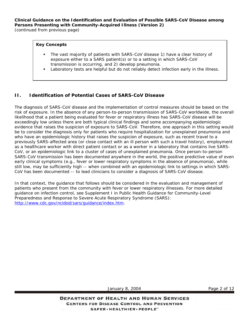(continued from previous page)

#### **Key Concepts**

- The vast majority of patients with SARS-CoV disease 1) have a clear history of exposure either to a SARS patient(s) or to a setting in which SARS-CoV transmission is occurring, and 2) develop pneumonia.
- Laboratory tests are helpful but do not reliably detect infection early in the illness.

# **II. Identification of Potential Cases of SARS-CoV Disease**

The diagnosis of SARS-CoV disease and the implementation of control measures should be based on the risk of exposure. In the absence of any person-to-person transmission of SARS-CoV worldwide, the overall likelihood that a patient being evaluated for fever or respiratory illness has SARS-CoV disease will be exceedingly low unless there are both typical clinical findings and some accompanying epidemiologic evidence that raises the suspicion of exposure to SARS-CoV. Therefore, one approach in this setting would be to consider the diagnosis only for patients who require hospitalization for unexplained pneumonia and who have an epidemiologic history that raises the suspicion of exposure, such as recent travel to a previously SARS-affected area (or close contact with an ill person with such a travel history), employment as a healthcare worker with direct patient contact or as a worker in a laboratory that contains live SARS-CoV, or an epidemiologic link to a cluster of cases of unexplained pneumonia. Once person-to-person SARS-CoV transmission has been documented anywhere in the world, the positive predictive value of even early clinical symptoms (e.g., fever or lower respiratory symptoms in the absence of pneumonia), while still low, may be sufficiently high -- when combined with an epidemiologic link to settings in which SARS-CoV has been documented -- to lead clinicians to consider a diagnosis of SARS-CoV disease.

In that context, the guidance that follows should be considered in the evaluation and management of patients who present from the community with fever or lower respiratory illnesses. For more detailed guidance on infection control, see Supplement I in *Public Health Guidance for Community-Level Preparedness and Response to Severe Acute Respiratory Syndrome (SARS)*: <http://www.cdc.gov/ncidod/sars/guidance/index.htm>.

January 8, 2004 **Page 2 of 12**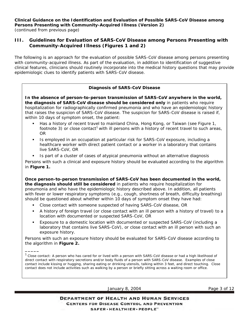# **III. Guidelines for Evaluation of SARS-CoV Disease among Persons Presenting with Community-Acquired Illness (Figures 1 and 2)**

The following is an approach for the evaluation of possible SARS-CoV disease among persons presenting with community-acquired illness. As part of the evaluation, in addition to identification of suggestive clinical features, clinicians should routinely incorporate into the medical history questions that may provide epidemiologic clues to identify patients with SARS-CoV disease.

# **Diagnosis of SARS-CoV Disease**

**In the absence of person-to-person transmission of SARS-CoV anywhere in the world, the diagnosis of SARS-CoV disease should be considered only** in patients who require hospitalization for radiographically confirmed pneumonia and who have an epidemiologic history that raises the suspicion of SARS-CoV disease. The suspicion for SARS-CoV disease is raised if, within 10 days of symptom onset, the patient:

- Has a history of recent travel to mainland China, Hong Kong, or Taiwan (see Figure 1, footnote 3) or close contact<sup>1</sup> with ill persons with a history of recent travel to such areas, OR
- Is employed in an occupation at particular risk for SARS-CoV exposure, including a healthcare worker with direct patient contact or a worker in a laboratory that contains live SARS-CoV, OR
- Is part of a cluster of cases of atypical pneumonia without an alternative diagnosis

Persons with such a clinical and exposure history should be evaluated according to the algorithm in **Figure 1.** 

**Once person-to-person transmission of SARS-CoV has been documented in the world, the diagnosis should still be considered** in patients who require hospitalization for pneumonia and who have the epidemiologic history described above. In addition, all patients with fever or lower respiratory symptoms (e.g., cough, shortness of breath, difficulty breathing) should be questioned about whether within 10 days of symptom onset they have had:

Close contact with someone suspected of having SARS-CoV disease, OR

**\_\_\_\_\_**

- A history of foreign travel (or close contact with an ill person with a history of travel) to a location with documented or suspected SARS-CoV, OR
- Exposure to a domestic location with documented or suspected SARS-CoV (including a laboratory that contains live SARS-CoV), or close contact with an ill person with such an exposure history.

Persons with such an exposure history should be evaluated for SARS-CoV disease according to the algorithm in **Figure 2.** 

January 8, 2004 **Page 3 of 12** 

 $1$  Close contact: A person who has cared for or lived with a person with SARS-CoV disease or had a high likelihood of direct contact with respiratory secretions and/or body fluids of a person with SARS-CoV disease. Examples of close contact include kissing or hugging, sharing eating or drinking utensils, talking within 3 feet, and direct touching. Close contact does not include activities such as walking by a person or briefly sitting across a waiting room or office.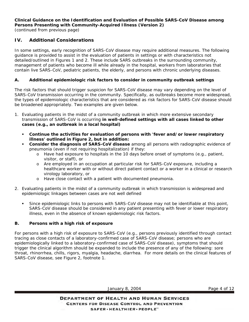(continued from previous page)

# **IV. Additional Considerations**

In some settings, early recognition of SARS-CoV disease may require additional measures. The following guidance is provided to assist in the evaluation of patients in settings or with characteristics not detailed/outlined in Figures 1 and 2. These include SARS outbreaks in the surrounding community, management of patients who become ill while already in the hospital, workers from laboratories that contain live SARS-CoV, pediatric patients, the elderly, and persons with chronic underlying diseases.

# **A. Additional epidemiologic risk factors to consider in community outbreak settings**

The risk factors that should trigger suspicion for SARS-CoV disease may vary depending on the level of SARS-CoV transmission occurring in the community. Specifically, as outbreaks become more widespread, the types of epidemiologic characteristics that are considered as risk factors for SARS-CoV disease should be broadened appropriately. Two examples are given below.

- 1. Evaluating patients in the midst of a community outbreak in which more extensive secondary transmission of SARS-CoV is occurring **in well-defined settings with all cases linked to other cases (e.g., an outbreak in a local hospital)** 
	- **Continue the activities for evaluation of persons with 'fever and/or lower respiratory illness' outlined in Figure 2, but in addition:**
	- **Consider the diagnosis of SARS-CoV disease** among *all* persons with radiographic evidence of pneumonia (*even if not requiring hospitalization*) if they:
		- o Have had exposure to hospitals in the 10 days before onset of symptoms (e.g., patient, visitor, or staff), *or*
		- o Are employed in an occupation at particular risk for SARS-CoV exposure, including a healthcare worker with *or without* direct patient contact or a worker in a clinical or research virology laboratory, *or*
		- o Have close contact with a patient with documented pneumonia.
- 2. Evaluating patients in the midst of a community outbreak in which transmission is widespread and epidemiologic linkages between cases are not well defined
	- Since epidemiologic links to persons with SARS-CoV disease may not be identifiable at this point, SARS-CoV disease should be considered in any patient presenting with fever or lower respiratory illness, even in the absence of known epidemiologic risk factors.

#### **B. Persons with a high risk of exposure**

For persons with a high risk of exposure to SARS-CoV (e.g., persons previously identified through contact tracing as close contacts of a laboratory-confirmed case of SARS-CoV disease; persons who are epidemiologically linked to a laboratory-confirmed case of SARS-CoV disease), symptoms that should trigger the clinical algorithm should be expanded to include the presence of any of the following: sore throat, rhinorrhea, chills, rigors, myalgia, headache, diarrhea. For more details on the clinical features of SARS-CoV disease, see Figure 2, footnote 1.

January 8, 2004 **Page 4 of 12**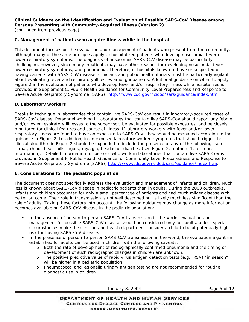(continued from previous page)

# **C. Management of patients who acquire illness while in the hospital**

This document focuses on the evaluation and management of patients who present from the community, although many of the same principles apply to hospitalized patients who develop nosocomial fever or lower respiratory symptoms. The diagnosis of nosocomial SARS-CoV disease may be particularly challenging, however, since many inpatients may have other reasons for developing nosocomial fever, lower respiratory symptoms, and pneumonia. Therefore, in hospitals known to have or suspected of having patients with SARS-CoV disease, clinicians and public health officials must be particularly vigilant about evaluating fever and respiratory illnesses among inpatients. Additional guidance on when to apply Figure 2 in the evaluation of patients who develop fever and/or respiratory illness while hospitalized is provided in Supplement C, *Public Health Guidance for Community-Level Preparedness and Response to Severe Acute Respiratory Syndrome (SARS)*: [http://www.cdc.gov/ncidod/sars/guidance/index.htm.](http://www.cdc.gov/ncidod/sars/guidance/index.htm)

# **D. Laboratory workers**

Breaks in technique in laboratories that contain live SARS-CoV can result in laboratory-acquired cases of SARS-CoV disease. Personnel working in laboratories that contain live SARS-CoV should report any febrile and/or lower respiratory illnesses to the supervisor, be evaluated for possible exposures, and be closely monitored for clinical features and course of illness. If laboratory workers with fever and/or lower respiratory illness are found to have an exposure to SARS-CoV, they should be managed according to the guidance in Figure 2. In addition, in an exposed laboratory worker, symptoms that should trigger the clinical algorithm in Figure 2 should be expanded to include the presence of any of the following: sore throat, rhinorrhea, chills, rigors, myalgia, headache, diarrhea (see Figure 2, footnote 1, for more information). Detailed information for persons who work in laboratories that contain live SARS-CoV is provided in Supplement F, *Public Health Guidance for Community-Level Preparedness and Response to Severe Acute Respiratory Syndrome (SARS)*, <http://www.cdc.gov/ncidod/sars/guidance/index.htm>.

# **E. Considerations for the pediatric population**

The document does not specifically address the evaluation and management of infants and children. Much less is known about SARS-CoV disease in pediatric patients than in adults. During the 2003 outbreaks, infants and children accounted for only a small percentage of patients and had much milder disease with better outcome. Their role in transmission is not well described but is likely much less significant than the role of adults. Taking these factors into account, the following guidance may change as more information becomes available on SARS-CoV disease in the pediatric population:

- In the absence of person-to-person SARS-CoV transmission in the world, evaluation and management for possible SARS-CoV disease should be considered only for adults, unless special circumstances make the clinician and health department consider a child to be of potentially high risk for having SARS-CoV disease.
- In the presence of person-to-person SARS-CoV transmission in the world, the evaluation algorithm established for adults can be used in children with the following caveats:
	- o Both the rate of development of radiographically confirmed pneumonia and the timing of development of such radiographic changes in children are unknown.
	- o The positive predictive value of rapid virus antigen detection tests (e.g., RSV) "in season" will be higher in a pediatric population.
	- o Pneumococcal and legionella urinary antigen testing are not recommended for routine diagnostic use in children.

January 8, 2004 **Page 5 of 12**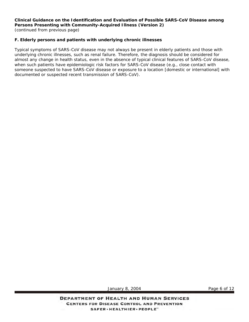#### **F. Elderly persons and patients with underlying chronic illnesses**

Typical symptoms of SARS-CoV disease may not always be present in elderly patients and those with underlying chronic illnesses, such as renal failure. Therefore, the diagnosis should be considered for almost any change in health status, even in the absence of typical clinical features of SARS-CoV disease, when such patients have epidemiologic risk factors for SARS-CoV disease (e.g., close contact with someone suspected to have SARS-CoV disease or exposure to a location [domestic or international] with documented or suspected recent transmission of SARS-CoV).

January 8, 2004 **Page 6 of 12**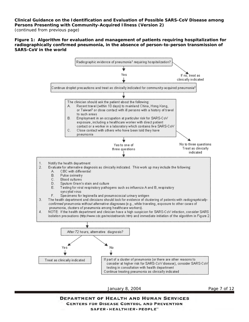(continued from previous page)

**Figure 1: Algorithm for evaluation and management of patients requiring hospitalization for radiographically confirmed pneumonia, in the absence of person-to-person transmission of SARS-CoV in the world** 



January 8, 2004 **Page 7 of 12**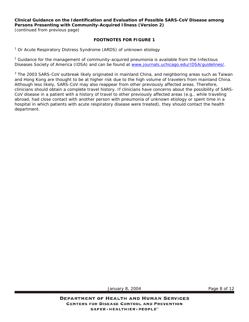#### **FOOTNOTES FOR FIGURE 1**

<sup>1</sup> Or Acute Respiratory Distress Syndrome (ARDS) of unknown etiology

<sup>2</sup> Guidance for the management of community-acquired pneumonia is available from the Infectious Diseases Society of America (IDSA) and can be found at [www.journals.uchicago.edu/IDSA/guidelines/.](http://www.journals.uchicago.edu/IDSA/guidelines/)

<sup>3</sup> The 2003 SARS-CoV outbreak likely originated in mainland China, and neighboring areas such as Taiwan and Hong Kong are thought to be at higher risk due to the high volume of travelers from mainland China. Although less likely, SARS-CoV may also reappear from other previously affected areas. Therefore, clinicians should obtain a complete travel history. If clinicians have concerns about the possibility of SARS-CoV disease in a patient with a history of travel to other previously affected areas (e.g., while traveling abroad, had close contact with another person with pneumonia of unknown etiology or spent time in a hospital in which patients with acute respiratory disease were treated), they should contact the health department.

January 8, 2004 **Page 8 of 12**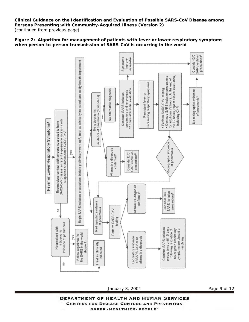**Figure 2: Algorithm for management of patients with fever or lower respiratory symptoms when person-to-person transmission of SARS-CoV is occurring in the world** 



January 8, 2004 **Page 9 of 12**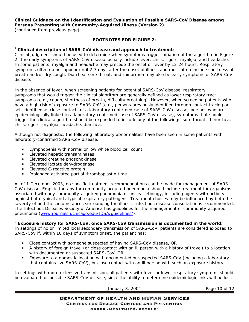(continued from previous page)

#### **FOOTNOTES FOR FIGURE 2:**

#### <sup>1</sup> **Clinical description of SARS-CoV disease and approach to treatment**:

Clinical judgment should be used to determine when symptoms trigger initiation of the algorithm in Figure 2. The early symptoms of SARS-CoV disease usually include fever, chills, rigors, myalgia, and headache. In some patients, myalgia and headache may precede the onset of fever by 12-24 hours. Respiratory symptoms often do not appear until 2-7 days after the onset of illness and most often include shortness of breath and/or dry cough. Diarrhea, sore throat, and rhinorrhea may also be early symptoms of SARS-CoV disease.

In the absence of fever, when screening patients for potential SARS-CoV disease, respiratory symptoms that would trigger the clinical algorithm are generally defined as lower respiratory tract symptoms (e.g., cough, shortness of breath, difficulty breathing). However, when screening patients who have a high risk of exposure to SARS-CoV (e.g., persons previously identified through contact tracing or self-identified as close contacts of a laboratory-confirmed case of SARS-CoV disease; persons who are epidemiologically linked to a laboratory-confirmed case of SARS-CoV disease), symptoms that should trigger the clinical algorithm should be expanded to include any of the following: sore throat, rhinorrhea, chills, rigors, myalgia, headache, diarrhea.

Although not diagnostic, the following laboratory abnormalities have been seen in some patients with laboratory-confirmed SARS-CoV disease:

- Lymphopenia with normal or low white blood cell count
- **Elevated hepatic transaminases**
- **Elevated creatine phosphokinase**
- **Elevated lactate dehydrogenase**
- Elevated C-reactive protein
- Prolonged activated partial thromboplastin time

As of 1 December 2003, no specific treatment recommendations can be made for management of SARS-CoV disease. Empiric therapy for community-acquired pneumonia should include treatment for organisms associated with any community-acquired pneumonia of unclear etiology, including agents with activity against both typical and atypical respiratory pathogens. Treatment choices may be influenced by both the severity of and the circumstances surrounding the illness. Infectious disease consultation is recommended. The Infectious Diseases Society of America has guidelines for the management of community-acquired pneumonia ([www.journals.uchicago.edu/IDSA/guidelines/\)](http://www.journals.uchicago.edu/IDSA/guidelines/).

#### <sup>2</sup> **Exposure history for SARS-CoV, once SARS-CoV transmission is documented in the world:**

*In settings of no or limited local secondary transmission of SARS-CoV*, patients are considered exposed to SARS-CoV if, within 10 days of symptom onset, the patient has:

- Close contact with someone suspected of having SARS-CoV disease, *OR*
- A history of foreign travel (or close contact with an ill person with a history of travel) to a location with documented or suspected SARS-CoV, *OR*
- Exposure to a domestic location with documented or suspected SARS-CoV (including a laboratory that contains live SARS-CoV), or close contact with an ill person with such an exposure history.

*In settings with more extensive transmission*, all patients with fever or lower respiratory symptoms should be evaluated for possible SARS-CoV disease, since the ability to determine epidemiologic links will be lost.

January 8, 2004 **Page 10 of 12**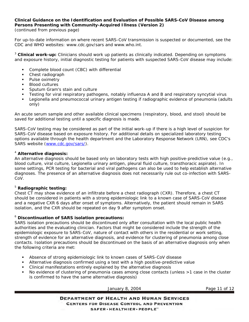(continued from previous page)

For up-to-date information on where recent SARS-CoV transmission is suspected or documented, see the CDC and WHO websites: www.cdc.gov/sars and www.who.int.

<sup>3</sup> **Clinical work-up:** Clinicians should work up patients as clinically indicated. Depending on symptoms and exposure history, initial diagnostic testing for patients with suspected SARS-CoV disease may include:

- Complete blood count (CBC) with differential
- Chest radiograph
- **Pulse oximetry**
- **Blood cultures**
- Sputum Gram's stain and culture
- Testing for viral respiratory pathogens, notably influenza A and B and respiratory syncytial virus
- Legionella and pneumococcal urinary antigen testing if radiographic evidence of pneumonia (adults only)

An acute serum sample and other available clinical specimens (respiratory, blood, and stool) should be saved for additional testing until a specific diagnosis is made.

SARS-CoV testing may be considered as part of the initial work-up if there is a high level of suspicion for SARS-CoV disease based on exposure history. For additional details on specialized laboratory testing options available through the health department and the Laboratory Response Network (LRN), see CDC's SARS website [\(www.cdc.gov/sars/\)](http://www.cdc.gov/ncidod/sars/).

#### <sup>4</sup> **Alternative diagnosis:**

An alternative diagnosis should be based only on laboratory tests with high positive-predictive value (e.g., blood culture, viral culture, Legionella urinary antigen, pleural fluid culture, transthoracic aspirate). In some settings, PCR testing for bacterial and viral pathogens can also be used to help establish alternative diagnoses. The presence of an alternative diagnosis does not necessarily rule out co-infection with SARS-CoV.

## <sup>5</sup> **Radiographic testing:**

Chest CT may show evidence of an infiltrate before a chest radiograph (CXR). Therefore, a chest CT should be considered in patients with a strong epidemiologic link to a known case of SARS-CoV disease and a negative CXR 6 days after onset of symptoms. Alternatively, the patient should remain in SARS isolation, and the CXR should be repeated on day 9 after symptom onset.

#### <sup>6</sup> **Discontinuation of SARS isolation precautions:**

SARS isolation precautions should be discontinued only after consultation with the local public health authorities and the evaluating clinician. Factors that might be considered include the strength of the epidemiologic exposure to SARS-CoV, nature of contact with others in the residential or work setting, strength of evidence for an alternative diagnosis, and evidence for clustering of pneumonia among close contacts. Isolation precautions should be discontinued on the basis of an alternative diagnosis only when the following criteria are met:

- Absence of strong epidemiologic link to known cases of SARS-CoV disease
- Alternative diagnosis confirmed using a test with a high positive-predictive value
- Clinical manifestations entirely explained by the alternative diagnosis
- No evidence of clustering of pneumonia cases among close contacts (unless >1 case in the cluster is confirmed to have the same alternative diagnosis)

January 8, 2004 Page 11 of 12